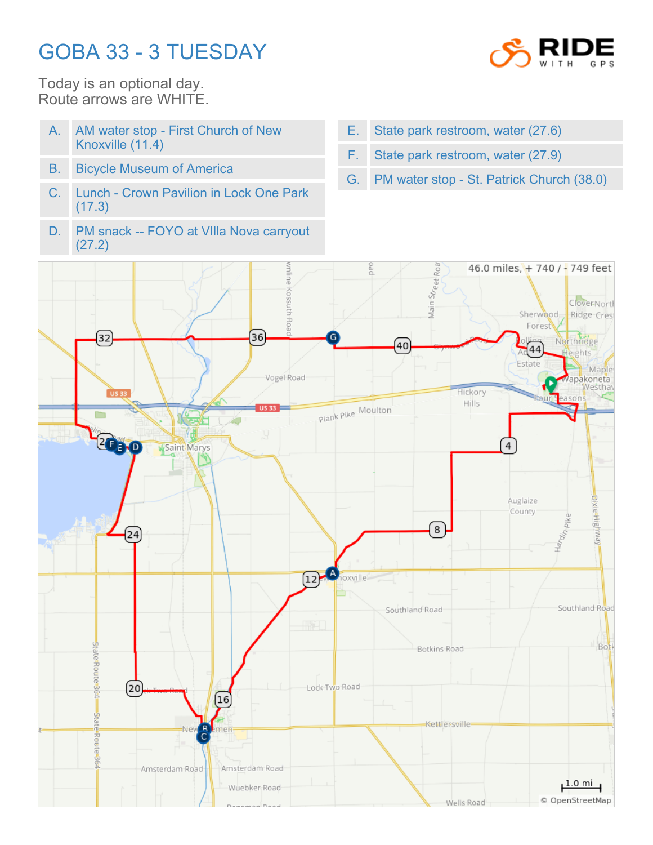## GOBA 33 - 3 TUESDAY



Today is an optional day. Route arrows are WHITE.

- A. AM water stop First Church of New Knoxville (11.4)
- B. Bicycle Museum of America
- C. Lunch Crown Pavilion in Lock One Park (17.3)
- D. PM snack -- FOYO at VIlla Nova carryout (27.2)
- E. State park restroom, water (27.6)
- F. State park restroom, water (27.9)
- G. PM water stop St. Patrick Church (38.0)